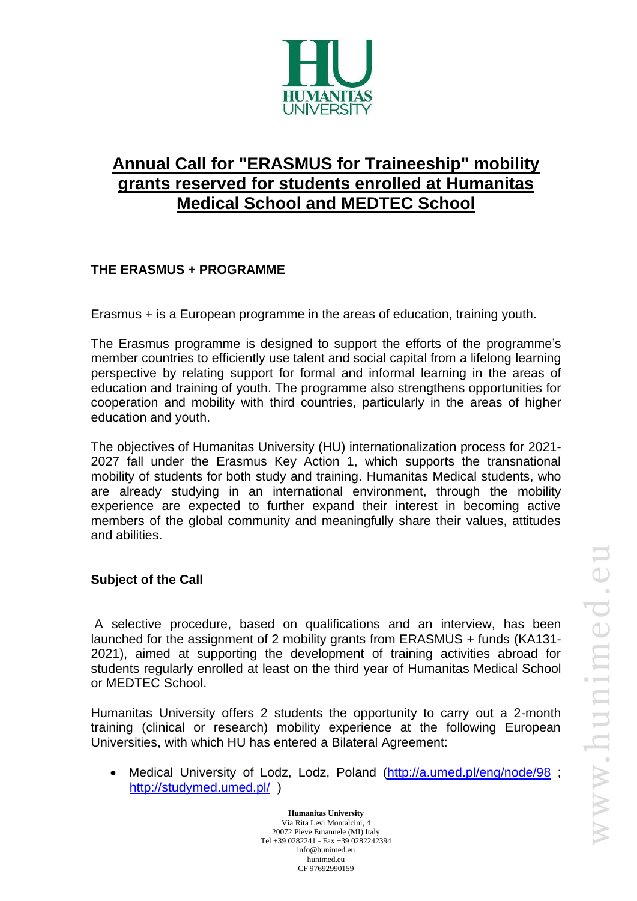

# **Annual Call for "ERASMUS for Traineeship" mobility grants reserved for students enrolled at Humanitas Medical School and MEDTEC School**

# **THE ERASMUS + PROGRAMME**

Erasmus + is a European programme in the areas of education, training youth.

The Erasmus programme is designed to support the efforts of the programme's member countries to efficiently use talent and social capital from a lifelong learning perspective by relating support for formal and informal learning in the areas of education and training of youth. The programme also strengthens opportunities for cooperation and mobility with third countries, particularly in the areas of higher education and youth.

The objectives of Humanitas University (HU) internationalization process for 2021- 2027 fall under the Erasmus Key Action 1, which supports the transnational mobility of students for both study and training. Humanitas Medical students, who are already studying in an international environment, through the mobility experience are expected to further expand their interest in becoming active members of the global community and meaningfully share their values, attitudes and abilities.

## **Subject of the Call**

A selective procedure, based on qualifications and an interview, has been launched for the assignment of 2 mobility grants from ERASMUS + funds (KA131- 2021), aimed at supporting the development of training activities abroad for students regularly enrolled at least on the third year of Humanitas Medical School or MEDTEC School.

Humanitas University offers 2 students the opportunity to carry out a 2-month training (clinical or research) mobility experience at the following European Universities, with which HU has entered a Bilateral Agreement:

• Medical University of Lodz, Lodz, Poland [\(http://a.umed.pl/eng/node/98](http://a.umed.pl/eng/node/98); <http://studymed.umed.pl/> )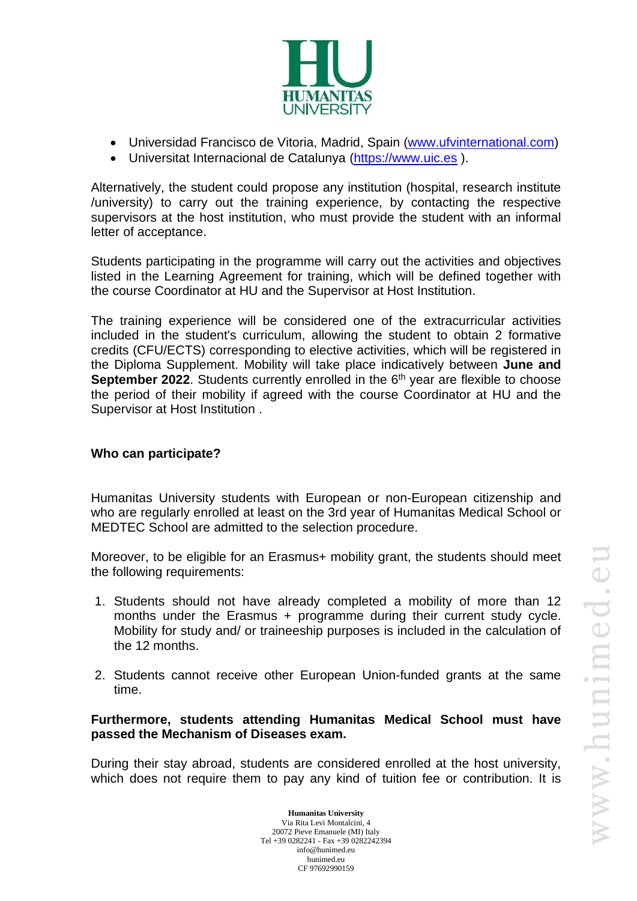

- Universidad Francisco de Vitoria, Madrid, Spain [\(www.ufvinternational.com\)](http://www.ufvinternational.com/)
- Universitat Internacional de Catalunya [\(https://www.uic.es](https://www.uic.es/) ).

Alternatively, the student could propose any institution (hospital, research institute /university) to carry out the training experience, by contacting the respective supervisors at the host institution, who must provide the student with an informal letter of acceptance.

Students participating in the programme will carry out the activities and objectives listed in the Learning Agreement for training, which will be defined together with the course Coordinator at HU and the Supervisor at Host Institution.

The training experience will be considered one of the extracurricular activities included in the student's curriculum, allowing the student to obtain 2 formative credits (CFU/ECTS) corresponding to elective activities, which will be registered in the Diploma Supplement. Mobility will take place indicatively between **June and September 2022**. Students currently enrolled in the 6<sup>th</sup> year are flexible to choose the period of their mobility if agreed with the course Coordinator at HU and the Supervisor at Host Institution .

### **Who can participate?**

Humanitas University students with European or non-European citizenship and who are regularly enrolled at least on the 3rd year of Humanitas Medical School or MEDTEC School are admitted to the selection procedure.

Moreover, to be eligible for an Erasmus+ mobility grant, the students should meet the following requirements:

- 1. Students should not have already completed a mobility of more than 12 months under the Erasmus + programme during their current study cycle. Mobility for study and/ or traineeship purposes is included in the calculation of the 12 months.
- 2. Students cannot receive other European Union-funded grants at the same time.

**Furthermore, students attending Humanitas Medical School must have passed the Mechanism of Diseases exam.**

During their stay abroad, students are considered enrolled at the host university, which does not require them to pay any kind of tuition fee or contribution. It is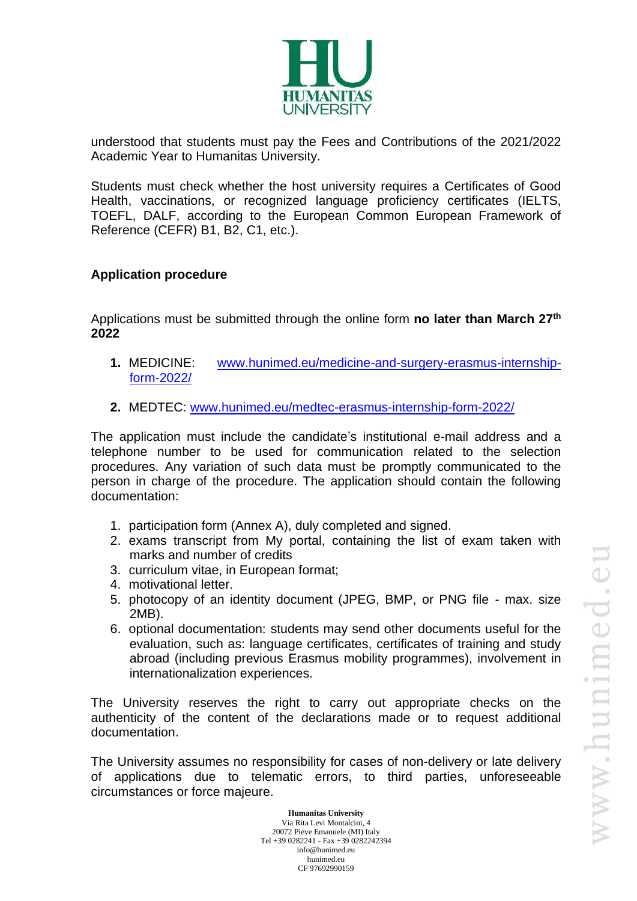

understood that students must pay the Fees and Contributions of the 2021/2022 Academic Year to Humanitas University.

Students must check whether the host university requires a Certificates of Good Health, vaccinations, or recognized language proficiency certificates (IELTS, TOEFL, DALF, according to the European Common European Framework of Reference (CEFR) B1, B2, C1, etc.).

## **Application procedure**

Applications must be submitted through the online form **no later than March 27 th 2022**

- **1.** MEDICINE: [www.hunimed.eu/medicine-and-surgery-erasmus-internship](http://www.hunimed.eu/medicine-and-surgery-erasmus-internship-form-2022/)[form-2022/](http://www.hunimed.eu/medicine-and-surgery-erasmus-internship-form-2022/)
- **2.** MEDTEC: [www.hunimed.eu/medtec-erasmus-internship-form-2022/](http://www.hunimed.eu/medtec-erasmus-internship-form-2022/)

The application must include the candidate's institutional e-mail address and a telephone number to be used for communication related to the selection procedures. Any variation of such data must be promptly communicated to the person in charge of the procedure. The application should contain the following documentation:

- 1. participation form (Annex A), duly completed and signed.
- 2. exams transcript from My portal, containing the list of exam taken with marks and number of credits
- 3. curriculum vitae, in European format;
- 4. motivational letter.
- 5. photocopy of an identity document (JPEG, BMP, or PNG file max. size 2MB).
- 6. optional documentation: students may send other documents useful for the evaluation, such as: language certificates, certificates of training and study abroad (including previous Erasmus mobility programmes), involvement in internationalization experiences.

The University reserves the right to carry out appropriate checks on the authenticity of the content of the declarations made or to request additional documentation.

The University assumes no responsibility for cases of non-delivery or late delivery of applications due to telematic errors, to third parties, unforeseeable circumstances or force majeure.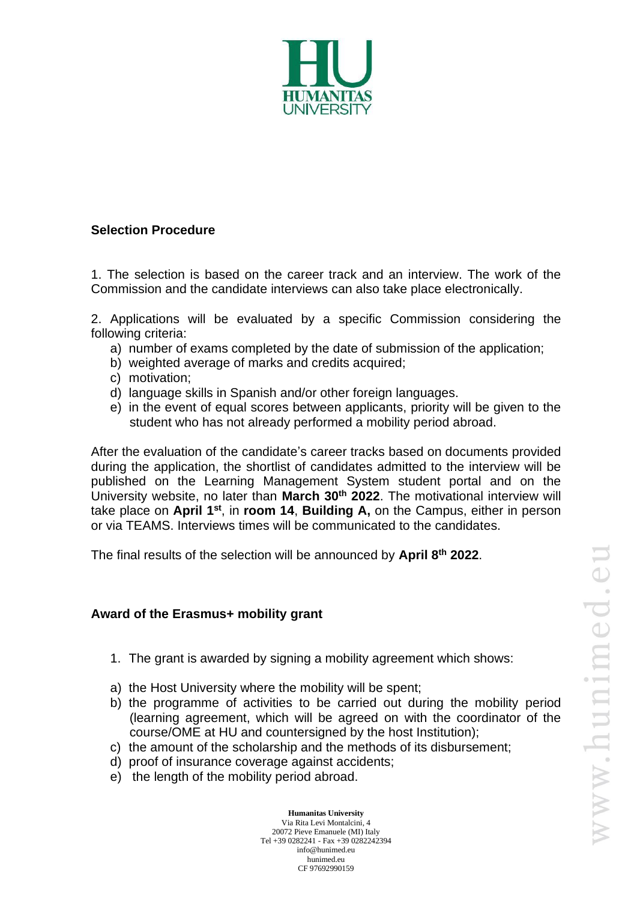

#### **Selection Procedure**

1. The selection is based on the career track and an interview. The work of the Commission and the candidate interviews can also take place electronically.

2. Applications will be evaluated by a specific Commission considering the following criteria:

- a) number of exams completed by the date of submission of the application;
- b) weighted average of marks and credits acquired;
- c) motivation;
- d) language skills in Spanish and/or other foreign languages.
- e) in the event of equal scores between applicants, priority will be given to the student who has not already performed a mobility period abroad.

After the evaluation of the candidate's career tracks based on documents provided during the application, the shortlist of candidates admitted to the interview will be published on the Learning Management System student portal and on the University website, no later than **March 30th 2022**. The motivational interview will take place on April 1<sup>st</sup>, in room 14, Building A, on the Campus, either in person or via TEAMS. Interviews times will be communicated to the candidates.

The final results of the selection will be announced by **April 8 th 2022**.

#### **Award of the Erasmus+ mobility grant**

- 1. The grant is awarded by signing a mobility agreement which shows:
- a) the Host University where the mobility will be spent;
- b) the programme of activities to be carried out during the mobility period (learning agreement, which will be agreed on with the coordinator of the course/OME at HU and countersigned by the host Institution);
- c) the amount of the scholarship and the methods of its disbursement;
- d) proof of insurance coverage against accidents;
- e) the length of the mobility period abroad.